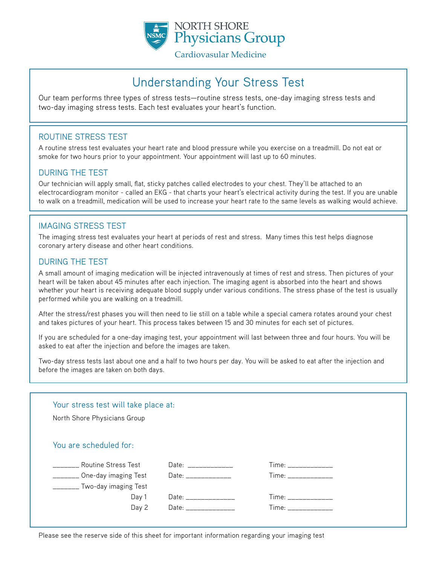

# Understanding Your Stress Test

Our team performs three types of stress tests—routine stress tests, one-day imaging stress tests and two-day imaging stress tests. Each test evaluates your heart's function.

### ROUTINE STRESS TEST

A routine stress test evaluates your heart rate and blood pressure while you exercise on a treadmill. Do not eat or smoke for two hours prior to your appointment. Your appointment will last up to 60 minutes.

#### DURING THE TEST

Our technician will apply small, flat, sticky patches called electrodes to your chest. They'll be attached to an electrocardiogram monitor - called an EKG - that charts your heart's electrical activity during the test. If you are unable to walk on a treadmill, medication will be used to increase your heart rate to the same levels as walking would achieve.

#### IMAGING STRESS TEST

The imaging stress test evaluates your heart at periods of rest and stress. Many times this test helps diagnose coronary artery disease and other heart conditions.

#### DURING THE TEST

A small amount of imaging medication will be injected intravenously at times of rest and stress. Then pictures of your heart will be taken about 45 minutes after each injection. The imaging agent is absorbed into the heart and shows whether your heart is receiving adequate blood supply under various conditions. The stress phase of the test is usually performed while you are walking on a treadmill.

After the stress/rest phases you will then need to lie still on a table while a special camera rotates around your chest and takes pictures of your heart. This process takes between 15 and 30 minutes for each set of pictures.

If you are scheduled for a one-day imaging test, your appointment will last between three and four hours. You will be asked to eat after the injection and before the images are taken.

Two-day stress tests last about one and a half to two hours per day. You will be asked to eat after the injection and before the images are taken on both days.

#### Your stress test will take place at:

North Shore Physicians Group

## You are scheduled for:

| <b>Routine Stress Test</b>              | Date: _________            | Time: _________                                                                                                                                                                                                                |
|-----------------------------------------|----------------------------|--------------------------------------------------------------------------------------------------------------------------------------------------------------------------------------------------------------------------------|
| One-day imaging Test Date: ____________ |                            | Time: _________                                                                                                                                                                                                                |
| Two-day imaging Test                    |                            |                                                                                                                                                                                                                                |
|                                         | Day 1 Date: ______________ | Time: the contract of the contract of the contract of the contract of the contract of the contract of the contract of the contract of the contract of the contract of the contract of the contract of the contract of the cont |
|                                         |                            |                                                                                                                                                                                                                                |
|                                         | Day 2 Date: ______________ | Time: ___________                                                                                                                                                                                                              |

Please see the reserve side of this sheet for important information regarding your imaging test